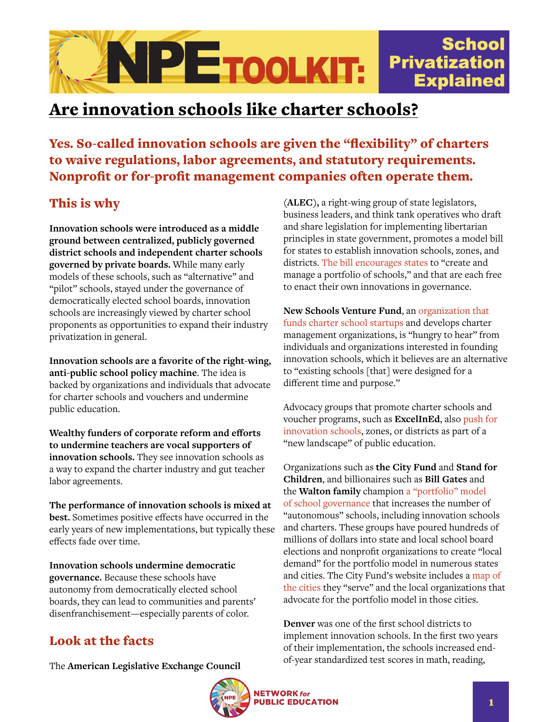

## Are innovation schools like charter schools?

Yes. So-called innovation schools are given the "flexibility" of charters to waive regulations, labor agreements, and statutory requirements. Nonprofit or for-profit management companies often operate them.

## This is why

**Innovation schools were introduced as a middle ground between centralized, publicly governed district schools and independent charter schools governed by private boards.** While many early models of these schools, such as "alternative" and "pilot" schools, stayed under the governance of democratically elected school boards, innovation schools are increasingly viewed by charter school proponents as opportunities to expand their industry privatization in general.

**Innovation schools are a favorite of the right-wing, anti-public school policy machine**. The idea is backed by organizations and individuals that advocate for charter schools and vouchers and undermine public education.

**Wealthy funders of corporate reform and efforts to undermine teachers are vocal supporters of innovation schools.** They see innovation schools as a way to expand the charter industry and gut teacher labor agreements.

**The performance of innovation schools is mixed at best.** Sometimes positive effects have occurred in the early years of new implementations, but typically these effects fade over time.

**Innovation schools undermine democratic governance.** Because these schools have autonomy from democratically elected school boards, they can lead to communities and parents' disenfranchisement—especially parents of color.

## Look at the facts

The **American Legislative Exchange Council** 

**(ALEC),** a right-wing group of state legislators, business leaders, and think tank operatives who draft and share legislation for implementing libertarian principles in state government, promotes a model bill for states to establish innovation schools, zones, and districts. [The bill encourages states](https://www.alec.org/model-policy/the-innovation-schools-and-school-districts-act/) to "create and manage a portfolio of schools," and that are each free to enact their own innovations in governance.

**New Schools Venture Fund**, an [organization that](https://www.newschools.org/investment-areas/innovative-public-schools/)  [funds charter school startups](https://www.newschools.org/investment-areas/innovative-public-schools/) and develops charter management organizations, is "hungry to hear" from individuals and organizations interested in founding innovation schools, which it believes are an alternative to "existing schools [that] were designed for a different time and purpose."

Advocacy groups that promote charter schools and voucher programs, such as **ExcelInEd**, also [push for](https://www.excelined.org/wp-content/uploads/2019/06/ExcelinEd.Innovation.NextGenerationLearning.NationalLandscape.Report.ExecutiveSummary.pdf)  [innovation schools,](https://www.excelined.org/wp-content/uploads/2019/06/ExcelinEd.Innovation.NextGenerationLearning.NationalLandscape.Report.ExecutiveSummary.pdf) zones, or districts as part of a "new landscape" of public education.

Organizations such as **the City Fund** and **Stand for Children**, and billionaires such as **Bill Gates** and the **Walton family** champion [a "portfolio" model](https://truthout.org/articles/devos-is-on-her-way-out-but-public-education-is-still-very-much-under-attack/)  [of school governance](https://truthout.org/articles/devos-is-on-her-way-out-but-public-education-is-still-very-much-under-attack/) that increases the number of "autonomous" schools, including innovation schools and charters. These groups have poured hundreds of millions of dollars into state and local school board elections and nonprofit organizations to create "local demand" for the portfolio model in numerous states and cities. The City Fund's website includes a [map of](https://www.city-fund.org/cities-we-serve/)  [the cities](https://www.city-fund.org/cities-we-serve/) they "serve" and the local organizations that advocate for the portfolio model in those cities.

**Denver** was one of the first school districts to implement innovation schools. In the first two years of their implementation, the schools increased endof-year standardized test scores in math, reading,